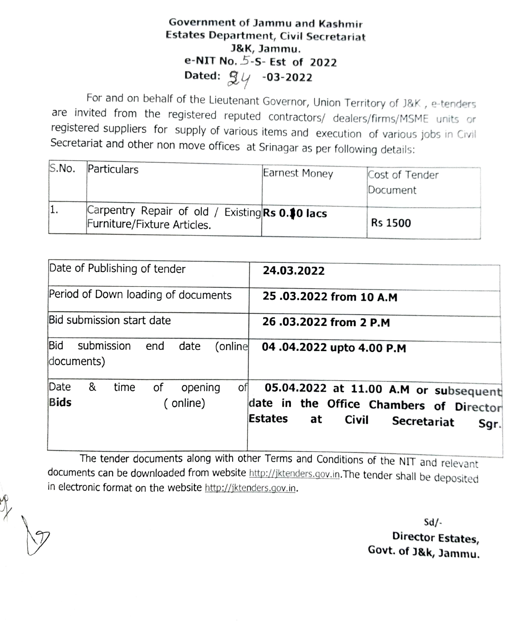## Government of Jammu and Kashmir Estates Department, Civil Secretariat J&K, Jammu. e-NIT No. 5-S- Est of 2022 Dated:  $\mathfrak{g}_{\mathfrak{c}}$  -03-2022

For and on behalf of the Lieutenant Governor, Union Territory of J8K, e-tenders are invited from the registered reputed contractors/ dealers/firms/MSME units or registered suppliers for supply of various items and execution of various jobs in Civil Secretariat and other non move offices at Srinagar as per following details:

| S.No. | Particulars                                                                    | Earnest Money | Cost of Tender<br>Document |
|-------|--------------------------------------------------------------------------------|---------------|----------------------------|
|       | Carpentry Repair of old / Existing Rs 0.10 lacs<br>Furniture/Fixture Articles. |               | <b>Rs 1500</b>             |

| Date of Publishing of tender                                        | 24.03.2022                                                                                                                                      |
|---------------------------------------------------------------------|-------------------------------------------------------------------------------------------------------------------------------------------------|
| Period of Down loading of documents                                 | 25.03.2022 from 10 A.M                                                                                                                          |
| Bid submission start date                                           | 26.03.2022 from 2 P.M                                                                                                                           |
| <b>Bid</b><br>submission<br>date<br>(online<br>end<br>documents)    | 04.04.2022 upto 4.00 P.M                                                                                                                        |
| Date<br>&<br>оf<br>time<br>opening<br>ofl<br><b>Bids</b><br>online) | 05.04.2022 at 11.00 A.M or subsequent<br>date in the Office Chambers of Director<br>Estates<br>at<br><b>Civil</b><br><b>Secretariat</b><br>Sgr. |

The tender documents along with other Terms and Conditions of the NIT and relevant documents can be downloaded from website http://jktenders.gov.in. The tender shall be deposited in electronic format on the website http://jktenders.gov.in.

> Sd/ Director Estates, Govt. of J&k, Jammu.